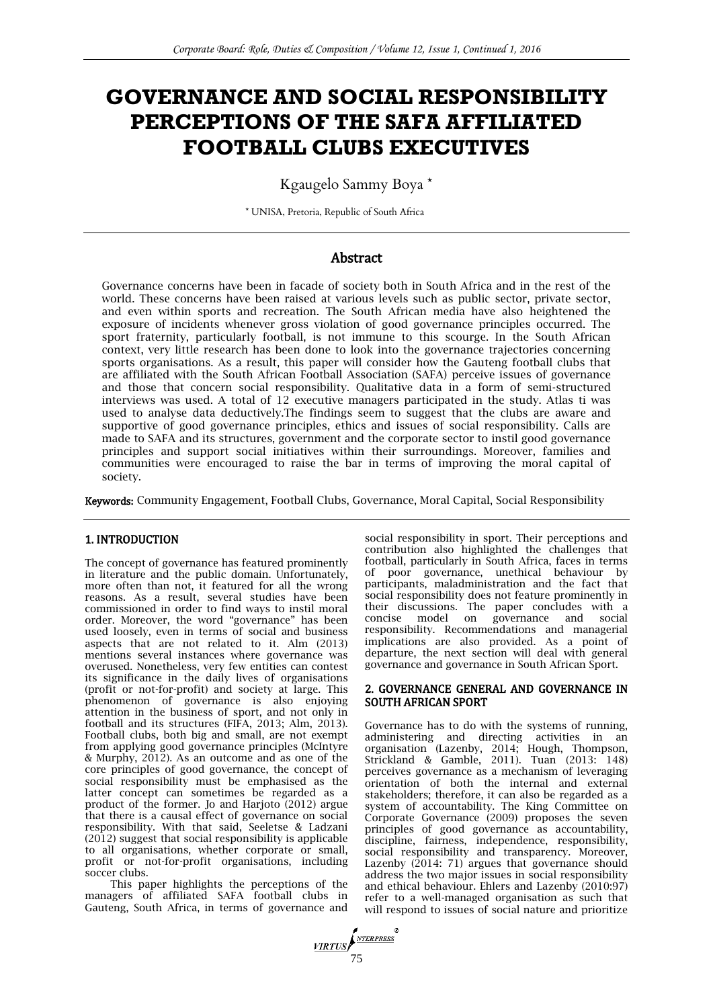# **GOVERNANCE AND SOCIAL RESPONSIBILITY PERCEPTIONS OF THE SAFA AFFILIATED FOOTBALL CLUBS EXECUTIVES**

Kgaugelo Sammy Boya \*

\* UNISA, Pretoria, Republic of South Africa

# Abstract

Governance concerns have been in facade of society both in South Africa and in the rest of the world. These concerns have been raised at various levels such as public sector, private sector, and even within sports and recreation. The South African media have also heightened the exposure of incidents whenever gross violation of good governance principles occurred. The sport fraternity, particularly football, is not immune to this scourge. In the South African context, very little research has been done to look into the governance trajectories concerning sports organisations. As a result, this paper will consider how the Gauteng football clubs that are affiliated with the South African Football Association (SAFA) perceive issues of governance and those that concern social responsibility. Qualitative data in a form of semi-structured interviews was used. A total of 12 executive managers participated in the study. Atlas ti was used to analyse data deductively.The findings seem to suggest that the clubs are aware and supportive of good governance principles, ethics and issues of social responsibility. Calls are made to SAFA and its structures, government and the corporate sector to instil good governance principles and support social initiatives within their surroundings. Moreover, families and communities were encouraged to raise the bar in terms of improving the moral capital of society.

Keywords: Community Engagement, Football Clubs, Governance, Moral Capital, Social Responsibility

## 1. INTRODUCTION

The concept of governance has featured prominently in literature and the public domain. Unfortunately, more often than not, it featured for all the wrong reasons. As a result, several studies have been commissioned in order to find ways to instil moral order. Moreover, the word "governance" has been used loosely, even in terms of social and business aspects that are not related to it. Alm (2013) mentions several instances where governance was overused. Nonetheless, very few entities can contest its significance in the daily lives of organisations (profit or not-for-profit) and society at large. This phenomenon of governance is also enjoying attention in the business of sport, and not only in football and its structures (FIFA, 2013; Alm, 2013). Football clubs, both big and small, are not exempt from applying good governance principles (McIntyre & Murphy, 2012). As an outcome and as one of the core principles of good governance, the concept of social responsibility must be emphasised as the latter concept can sometimes be regarded as a product of the former. Jo and Harjoto (2012) argue that there is a causal effect of governance on social responsibility. With that said, Seeletse & Ladzani (2012) suggest that social responsibility is applicable to all organisations, whether corporate or small, profit or not-for-profit organisations, including soccer clubs.

This paper highlights the perceptions of the managers of affiliated SAFA football clubs in Gauteng, South Africa, in terms of governance and

social responsibility in sport. Their perceptions and contribution also highlighted the challenges that football, particularly in South Africa, faces in terms of poor governance, unethical behaviour by participants, maladministration and the fact that social responsibility does not feature prominently in their discussions. The paper concludes with a concise model on governance and social responsibility. Recommendations and managerial implications are also provided. As a point of departure, the next section will deal with general governance and governance in South African Sport.

#### 2. GOVERNANCE GENERAL AND GOVERNANCE IN SOUTH AFRICAN SPORT

Governance has to do with the systems of running, administering and directing activities in an organisation (Lazenby, 2014; Hough, Thompson, Strickland & Gamble, 2011). Tuan (2013: 148) perceives governance as a mechanism of leveraging orientation of both the internal and external stakeholders; therefore, it can also be regarded as a system of accountability. The King Committee on Corporate Governance (2009) proposes the seven principles of good governance as accountability, discipline, fairness, independence, responsibility, social responsibility and transparency. Moreover, Lazenby  $(2014: 71)$  argues that governance should address the two major issues in social responsibility and ethical behaviour. Ehlers and Lazenby (2010:97) refer to a well-managed organisation as such that will respond to issues of social nature and prioritize

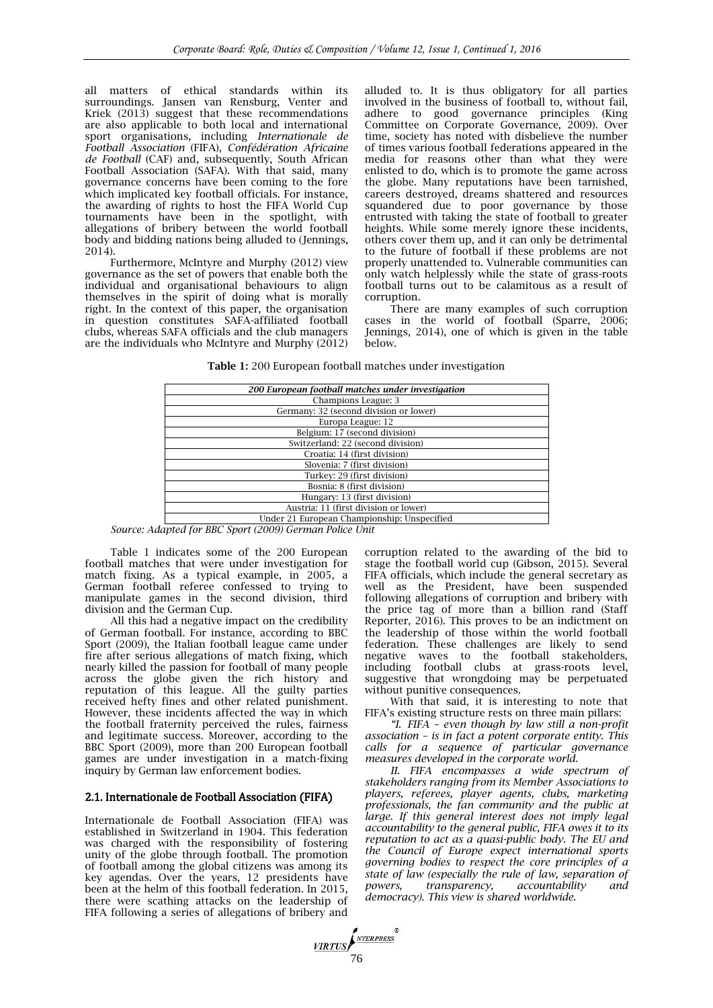all matters of ethical standards within its surroundings. Jansen van Rensburg, Venter and Kriek (2013) suggest that these recommendations are also applicable to both local and international sport organisations, including *Internationale de Football Association* (FIFA), *Confédération Africaine de Football* (CAF) and, subsequently, South African Football Association (SAFA). With that said, many governance concerns have been coming to the fore which implicated key football officials. For instance, the awarding of rights to host the FIFA World Cup tournaments have been in the spotlight, with allegations of bribery between the world football body and bidding nations being alluded to [\(Jennings,](http://www.amazon.co.uk/s/ref=ntt_athr_dp_sr_1/279-1596470-9642502?_encoding=UTF8&field-author=Andrew%20Jennings&search-alias=digital-text&sort=relevancerank)  2014).

Furthermore, McIntyre and Murphy (2012) view governance as the set of powers that enable both the individual and organisational behaviours to align themselves in the spirit of doing what is morally right. In the context of this paper, the organisation in question constitutes SAFA-affiliated football clubs, whereas SAFA officials and the club managers are the individuals who McIntyre and Murphy (2012)

alluded to. It is thus obligatory for all parties involved in the business of football to, without fail, adhere to good governance principles (King Committee on Corporate Governance, 2009). Over time, society has noted with disbelieve the number of times various football federations appeared in the media for reasons other than what they were enlisted to do, which is to promote the game across the globe. Many reputations have been tarnished, careers destroyed, dreams shattered and resources squandered due to poor governance by those entrusted with taking the state of football to greater heights. While some merely ignore these incidents, others cover them up, and it can only be detrimental to the future of football if these problems are not properly unattended to. Vulnerable communities can only watch helplessly while the state of grass-roots football turns out to be calamitous as a result of corruption.

There are many examples of such corruption cases in the world of football (Sparre, 2006; [Jennings,](http://www.amazon.co.uk/s/ref=ntt_athr_dp_sr_1/279-1596470-9642502?_encoding=UTF8&field-author=Andrew%20Jennings&search-alias=digital-text&sort=relevancerank) 2014), one of which is given in the table below.

**Table 1:** 200 European football matches under investigation

| 200 European football matches under investigation |  |  |  |  |  |
|---------------------------------------------------|--|--|--|--|--|
| Champions League: 3                               |  |  |  |  |  |
| Germany: 32 (second division or lower)            |  |  |  |  |  |
| Europa League: 12                                 |  |  |  |  |  |
| Belgium: 17 (second division)                     |  |  |  |  |  |
| Switzerland: 22 (second division)                 |  |  |  |  |  |
| Croatia: 14 (first division)                      |  |  |  |  |  |
| Slovenia: 7 (first division)                      |  |  |  |  |  |
| Turkey: 29 (first division)                       |  |  |  |  |  |
| Bosnia: 8 (first division)                        |  |  |  |  |  |
| Hungary: 13 (first division)                      |  |  |  |  |  |
| Austria: 11 (first division or lower)             |  |  |  |  |  |
| Under 21 European Championship: Unspecified       |  |  |  |  |  |

*Source: Adapted for BBC Sport (2009) German Police Unit*

Table 1 indicates some of the 200 European football matches that were under investigation for match fixing. As a typical example, in 2005, a German football referee confessed to trying to manipulate games in the second division, third division and the German Cup.

All this had a negative impact on the credibility of German football. For instance, according to BBC Sport (2009), the Italian football league came under fire after serious allegations of match fixing, which nearly killed the passion for football of many people across the globe given the rich history and reputation of this league. All the guilty parties received hefty fines and other related punishment. However, these incidents affected the way in which the football fraternity perceived the rules, fairness and legitimate success. Moreover, according to the BBC Sport (2009), more than 200 European football games are under investigation in a match-fixing inquiry by German law enforcement bodies.

## 2.1. Internationale de Football Association (FIFA)

Internationale de Football Association (FIFA) was established in Switzerland in 1904. This federation was charged with the responsibility of fostering unity of the globe through football. The promotion of football among the global citizens was among its key agendas. Over the years, 12 presidents have been at the helm of this football federation. In 2015, there were scathing attacks on the leadership of FIFA following a series of allegations of bribery and

corruption related to the awarding of the bid to stage the football world cup (Gibson, 2015). Several FIFA officials, which include the general secretary as well as the President, have been suspended following allegations of corruption and bribery with the price tag of more than a billion rand (Staff Reporter, 2016). This proves to be an indictment on the leadership of those within the world football federation. These challenges are likely to send negative waves to the football stakeholders, including football clubs at grass-roots level, suggestive that wrongdoing may be perpetuated without punitive consequences.

With that said, it is interesting to note that FIFA's existing structure rests on three main pillars:

*"I. FIFA – even though by law still a non-profit association – is in fact a potent corporate entity. This calls for a sequence of particular governance measures developed in the corporate world.*

*II. FIFA encompasses a wide spectrum of stakeholders ranging from its Member Associations to players, referees, player agents, clubs, marketing professionals, the fan community and the public at*  large. If this general interest does not imply legal *accountability to the general public, FIFA owes it to its reputation to act as a quasi-public body. The EU and the Council of Europe expect international sports governing bodies to respect the core principles of a state of law (especially the rule of law, separation of powers, transparency, accountability and democracy). This view is shared worldwide.*

VIRTUS NTERPRESS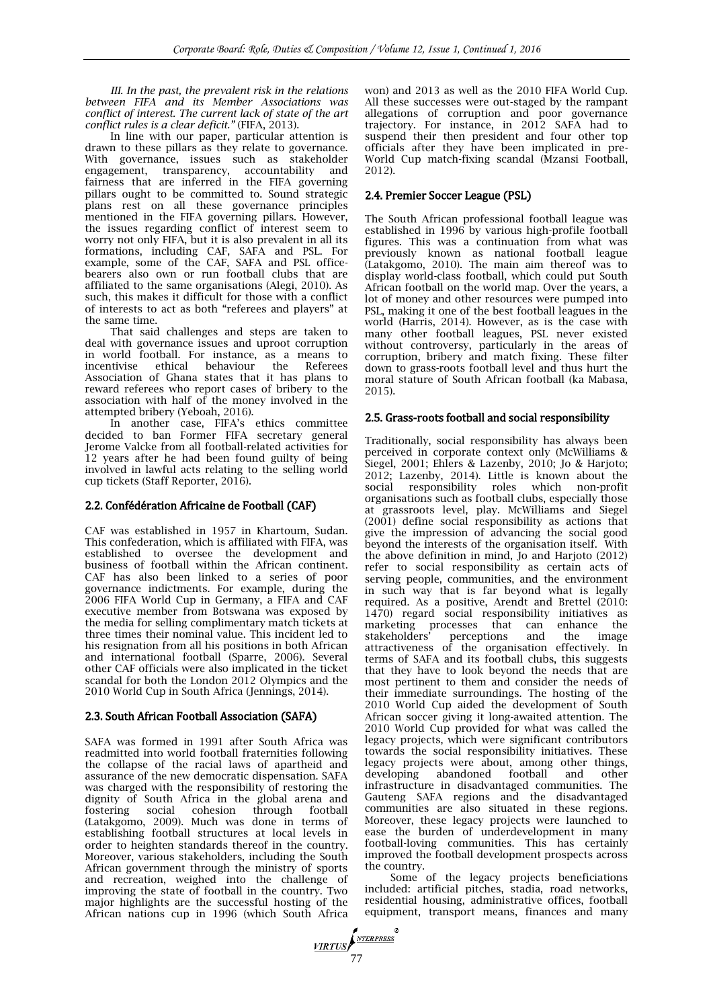*III. In the past, the prevalent risk in the relations between FIFA and its Member Associations was conflict of interest. The current lack of state of the art conflict rules is a clear deficit."* (FIFA, 2013).

In line with our paper, particular attention is drawn to these pillars as they relate to governance. With governance, issues such as stakeholder engagement, transparency, accountability and fairness that are inferred in the FIFA governing pillars ought to be committed to. Sound strategic plans rest on all these governance principles mentioned in the FIFA governing pillars. However, the issues regarding conflict of interest seem to worry not only FIFA, but it is also prevalent in all its formations, including CAF, SAFA and PSL. For example, some of the CAF, SAFA and PSL officebearers also own or run football clubs that are affiliated to the same organisations (Alegi, 2010). As such, this makes it difficult for those with a conflict of interests to act as both "referees and players" at the same time.

That said challenges and steps are taken to deal with governance issues and uproot corruption in world football. For instance, as a means to incentivise ethical behaviour the Referees Association of Ghana states that it has plans to reward referees who report cases of bribery to the association with half of the money involved in the attempted bribery (Yeboah, 2016).

In another case, FIFA's ethics committee decided to ban Former FIFA secretary general Jerome Valcke from all football-related activities for 12 years after he had been found guilty of being involved in lawful acts relating to the selling world cup tickets (Staff Reporter, 2016).

## 2.2. Confédération Africaine de Football (CAF)

CAF was established in 1957 in Khartoum, Sudan. This confederation, which is affiliated with FIFA, was established to oversee the development and business of football within the African continent. CAF has also been linked to a series of poor governance indictments. For example, during the 2006 FIFA World Cup in Germany, a FIFA and CAF executive member from Botswana was exposed by the media for selling complimentary match tickets at three times their nominal value. This incident led to his resignation from all his positions in both African and international football (Sparre, 2006). Several other CAF officials were also implicated in the ticket scandal for both the London 2012 Olympics and the 2010 World Cup in South Africa [\(Jennings,](http://www.amazon.co.uk/s/ref=ntt_athr_dp_sr_1/279-1596470-9642502?_encoding=UTF8&field-author=Andrew%20Jennings&search-alias=digital-text&sort=relevancerank) 2014).

# 2.3. South African Football Association (SAFA)

SAFA was formed in 1991 after South Africa was readmitted into world football fraternities following the collapse of the racial laws of apartheid and assurance of the new democratic dispensation. SAFA was charged with the responsibility of restoring the dignity of South Africa in the global arena and<br>fostering social cohesion through football fostering social cohesion through (Latakgomo, 2009). Much was done in terms of establishing football structures at local levels in order to heighten standards thereof in the country. Moreover, various stakeholders, including the South African government through the ministry of sports and recreation, weighed into the challenge of improving the state of football in the country. Two major highlights are the successful hosting of the African nations cup in 1996 (which South Africa

won) and 2013 as well as the 2010 FIFA World Cup. All these successes were out-staged by the rampant allegations of corruption and poor governance trajectory. For instance, in 2012 SAFA had to suspend their then president and four other top officials after they have been implicated in pre-World Cup match-fixing scandal (Mzansi Football, 2012).

# 2.4. Premier Soccer League (PSL)

The South African professional football league was established in 1996 by various high-profile football figures. This was a continuation from what was previously known as national football league (Latakgomo, 2010). The main aim thereof was to display world-class football, which could put South African football on the world map. Over the years, a lot of money and other resources were pumped into PSL, making it one of the best football leagues in the world (Harris, 2014). However, as is the case with many other football leagues, PSL never existed without controversy, particularly in the areas of corruption, bribery and match fixing. These filter down to grass-roots football level and thus hurt the moral stature of South African football (ka Mabasa, 2015).

# 2.5. Grass-roots football and social responsibility

Traditionally, social responsibility has always been perceived in corporate context only (McWilliams & Siegel, 2001; Ehlers & Lazenby, 2010; Jo & Harjoto; 2012; Lazenby, 2014). Little is known about the social responsibility roles which non-profit organisations such as football clubs, especially those at grassroots level, play. McWilliams and Siegel (2001) define social responsibility as actions that give the impression of advancing the social good beyond the interests of the organisation itself. With the above definition in mind, Jo and Harjoto (2012) refer to social responsibility as certain acts of serving people, communities, and the environment in such way that is far beyond what is legally required. As a positive, Arendt and Brettel (2010: 1470) regard social responsibility initiatives as marketing processes that can enhance the stakeholders' perceptions and the image attractiveness of the organisation effectively. In terms of SAFA and its football clubs, this suggests that they have to look beyond the needs that are most pertinent to them and consider the needs of their immediate surroundings. The hosting of the 2010 World Cup aided the development of South African soccer giving it long-awaited attention. The 2010 World Cup provided for what was called the legacy projects, which were significant contributors towards the social responsibility initiatives. These legacy projects were about, among other things, developing abandoned football and other infrastructure in disadvantaged communities. The Gauteng SAFA regions and the disadvantaged communities are also situated in these regions. Moreover, these legacy projects were launched to ease the burden of underdevelopment in many football-loving communities. This has certainly improved the football development prospects across the country.

Some of the legacy projects beneficiations included: artificial pitches, stadia, road networks, residential housing, administrative offices, football equipment, transport means, finances and many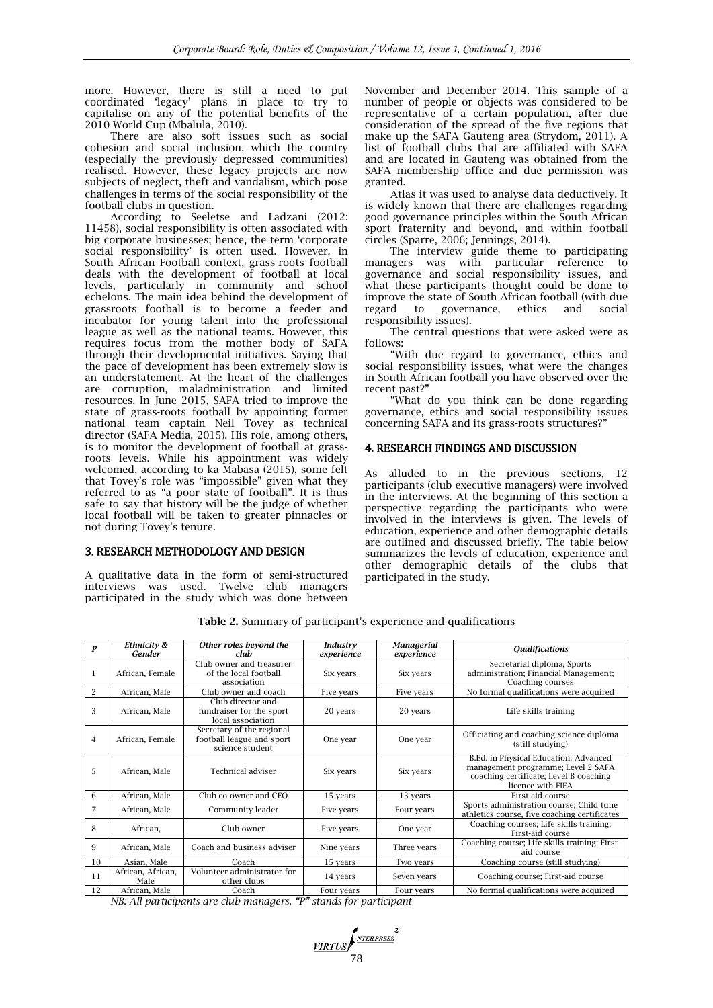more. However, there is still a need to put coordinated 'legacy' plans in place to try to capitalise on any of the potential benefits of the 2010 World Cup (Mbalula, 2010).

There are also soft issues such as social cohesion and social inclusion, which the country (especially the previously depressed communities) realised. However, these legacy projects are now subjects of neglect, theft and vandalism, which pose challenges in terms of the social responsibility of the football clubs in question.

According to Seeletse and Ladzani (2012: 11458), social responsibility is often associated with big corporate businesses; hence, the term 'corporate social responsibility' is often used. However, in South African Football context, grass-roots football deals with the development of football at local levels, particularly in community and school echelons. The main idea behind the development of grassroots football is to become a feeder and incubator for young talent into the professional league as well as the national teams. However, this requires focus from the mother body of SAFA through their developmental initiatives. Saying that the pace of development has been extremely slow is an understatement. At the heart of the challenges are corruption, maladministration and limited resources. In June 2015, SAFA tried to improve the state of grass-roots football by appointing former national team captain Neil Tovey as technical director (SAFA Media, 2015). His role, among others, is to monitor the development of football at grassroots levels. While his appointment was widely welcomed, according to ka Mabasa (2015), some felt that Tovey's role was "impossible" given what they referred to as "a poor state of football". It is thus safe to say that history will be the judge of whether local football will be taken to greater pinnacles or not during Tovey's tenure.

## 3. RESEARCH METHODOLOGY AND DESIGN

A qualitative data in the form of semi-structured interviews was used. Twelve club managers participated in the study which was done between November and December 2014. This sample of a number of people or objects was considered to be representative of a certain population, after due consideration of the spread of the five regions that make up the SAFA Gauteng area (Strydom, 2011). A list of football clubs that are affiliated with SAFA and are located in Gauteng was obtained from the SAFA membership office and due permission was granted.

Atlas it was used to analyse data deductively. It is widely known that there are challenges regarding good governance principles within the South African sport fraternity and beyond, and within football circles (Sparre, 2006; [Jennings,](http://www.amazon.co.uk/s/ref=ntt_athr_dp_sr_1/279-1596470-9642502?_encoding=UTF8&field-author=Andrew%20Jennings&search-alias=digital-text&sort=relevancerank) 2014).

The interview guide theme to participating managers was with particular reference to governance and social responsibility issues, and what these participants thought could be done to improve the state of South African football (with due regard to governance, ethics and social responsibility issues).

The central questions that were asked were as follows:

"With due regard to governance, ethics and social responsibility issues, what were the changes in South African football you have observed over the recent past?"

"What do you think can be done regarding governance, ethics and social responsibility issues concerning SAFA and its grass-roots structures?"

## 4. RESEARCH FINDINGS AND DISCUSSION

As alluded to in the previous sections, 12 participants (club executive managers) were involved in the interviews. At the beginning of this section a perspective regarding the participants who were involved in the interviews is given. The levels of education, experience and other demographic details are outlined and discussed briefly. The table below summarizes the levels of education, experience and other demographic details of the clubs that participated in the study.

| P              | Ethnicity &<br>Gender     | Other roles beyond the<br>club                                            | Industry<br>experience | <b>Managerial</b><br>experience | <b>Qualifications</b>                                                                                                                      |
|----------------|---------------------------|---------------------------------------------------------------------------|------------------------|---------------------------------|--------------------------------------------------------------------------------------------------------------------------------------------|
| 1              | African, Female           | Club owner and treasurer<br>of the local football<br>association          | Six years              | Six years                       | Secretarial diploma: Sports<br>administration; Financial Management;<br>Coaching courses                                                   |
| $\overline{2}$ | African, Male             | Club owner and coach                                                      | Five years             | Five years                      | No formal qualifications were acquired                                                                                                     |
| 3              | African, Male             | Club director and<br>fundraiser for the sport<br>local association        | 20 years               | 20 years                        | Life skills training                                                                                                                       |
| $\overline{4}$ | African, Female           | Secretary of the regional<br>football league and sport<br>science student | One year               | One year                        | Officiating and coaching science diploma<br>(still studying)                                                                               |
| 5              | African, Male             | <b>Technical adviser</b>                                                  | Six years              | Six years                       | B.Ed. in Physical Education; Advanced<br>management programme; Level 2 SAFA<br>coaching certificate; Level B coaching<br>licence with FIFA |
| 6              | African, Male             | Club co-owner and CEO                                                     | 15 years               | 13 years                        | First aid course                                                                                                                           |
| 7              | African, Male             | Community leader                                                          | Five years             | Four years                      | Sports administration course; Child tune<br>athletics course, five coaching certificates                                                   |
| 8              | African,                  | Club owner                                                                | Five years             | One year                        | Coaching courses; Life skills training;<br>First-aid course                                                                                |
| 9              | African, Male             | Coach and business adviser                                                | Nine years             | Three years                     | Coaching course; Life skills training; First-<br>aid course                                                                                |
| 10             | Asian, Male               | Coach                                                                     | 15 years               | Two years                       | Coaching course (still studying)                                                                                                           |
| 11             | African, African,<br>Male | Volunteer administrator for<br>other clubs                                | 14 years               | Seven years                     | Coaching course; First-aid course                                                                                                          |
| 12             | African, Male             | Coach                                                                     | Four years             | Four years                      | No formal qualifications were acquired                                                                                                     |

**Table 2.** Summary of participant's experience and qualifications

*NB: All participants are club managers, "P" stands for participant*

VIRTUS (<sup>NTERPRESS</sup>)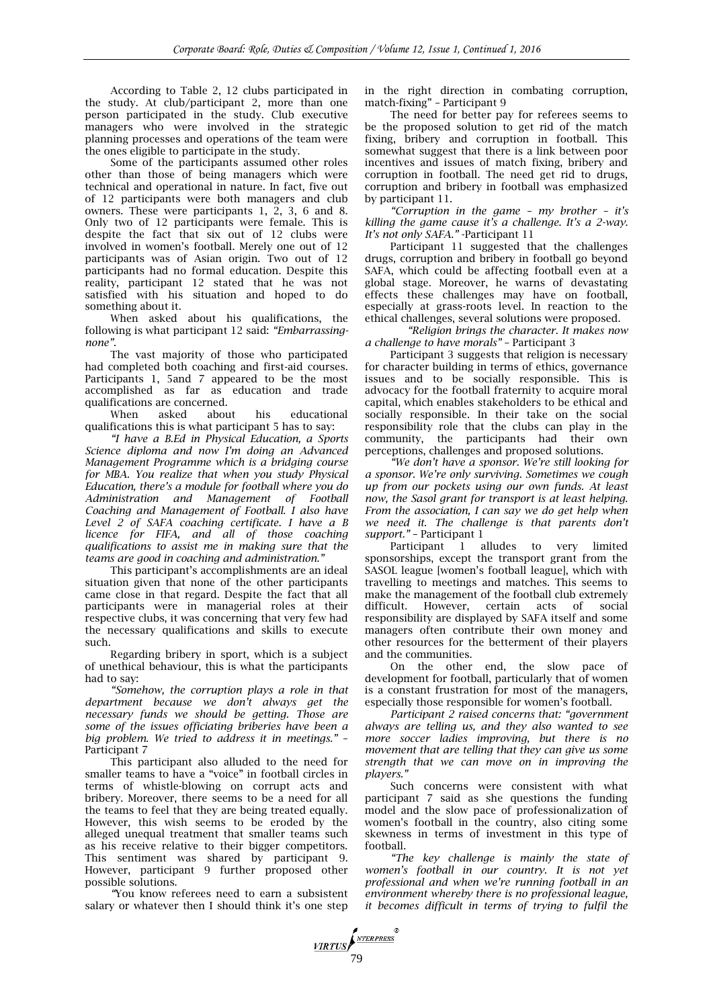According to Table 2, 12 clubs participated in the study. At club/participant 2, more than one person participated in the study. Club executive managers who were involved in the strategic planning processes and operations of the team were the ones eligible to participate in the study.

Some of the participants assumed other roles other than those of being managers which were technical and operational in nature. In fact, five out of 12 participants were both managers and club owners. These were participants 1, 2, 3, 6 and 8. Only two of 12 participants were female. This is despite the fact that six out of 12 clubs were involved in women's football. Merely one out of 12 participants was of Asian origin. Two out of 12 participants had no formal education. Despite this reality, participant 12 stated that he was not satisfied with his situation and hoped to do something about it.

When asked about his qualifications, the following is what participant 12 said: *"Embarrassingnone".*

The vast majority of those who participated had completed both coaching and first-aid courses. Participants 1, 5and 7 appeared to be the most accomplished as far as education and trade qualifications are concerned.

When asked about his educational qualifications this is what participant 5 has to say:

*"I have a B.Ed in Physical Education, a Sports Science diploma and now I'm doing an Advanced Management Programme which is a bridging course for MBA. You realize that when you study Physical Education, there's a module for football where you do Administration and Management of Football Coaching and Management of Football. I also have Level 2 of SAFA coaching certificate. I have a B licence for FIFA, and all of those coaching qualifications to assist me in making sure that the teams are good in coaching and administration."* 

This participant's accomplishments are an ideal situation given that none of the other participants came close in that regard. Despite the fact that all participants were in managerial roles at their respective clubs, it was concerning that very few had the necessary qualifications and skills to execute such.

Regarding bribery in sport, which is a subject of unethical behaviour, this is what the participants had to say:

*"Somehow, the corruption plays a role in that department because we don't always get the necessary funds we should be getting. Those are some of the issues officiating briberies have been a big problem. We tried to address it in meetings."* – Participant 7

This participant also alluded to the need for smaller teams to have a "voice" in football circles in terms of whistle-blowing on corrupt acts and bribery. Moreover, there seems to be a need for all the teams to feel that they are being treated equally. However, this wish seems to be eroded by the alleged unequal treatment that smaller teams such as his receive relative to their bigger competitors. This sentiment was shared by participant 9. However, participant 9 further proposed other possible solutions.

*"*You know referees need to earn a subsistent salary or whatever then I should think it's one step

in the right direction in combating corruption, match-fixing" – Participant 9

The need for better pay for referees seems to be the proposed solution to get rid of the match fixing, bribery and corruption in football. This somewhat suggest that there is a link between poor incentives and issues of match fixing, bribery and corruption in football. The need get rid to drugs, corruption and bribery in football was emphasized by participant 11.

*"Corruption in the game – my brother – it's killing the game cause it's a challenge. It's a 2-way. It's not only SAFA."* -Participant 11

Participant 11 suggested that the challenges drugs, corruption and bribery in football go beyond SAFA, which could be affecting football even at a global stage. Moreover, he warns of devastating effects these challenges may have on football, especially at grass-roots level. In reaction to the ethical challenges, several solutions were proposed.

*"Religion brings the character. It makes now a challenge to have morals"* – Participant 3

Participant 3 suggests that religion is necessary for character building in terms of ethics, governance issues and to be socially responsible. This is advocacy for the football fraternity to acquire moral capital, which enables stakeholders to be ethical and socially responsible. In their take on the social responsibility role that the clubs can play in the community, the participants had their own perceptions, challenges and proposed solutions.

*"We don't have a sponsor. We're still looking for a sponsor. We're only surviving. Sometimes we cough up from our pockets using our own funds. At least now, the Sasol grant for transport is at least helping. From the association, I can say we do get help when we need it. The challenge is that parents don't support."* – Participant 1

Participant 1 alludes to very limited sponsorships, except the transport grant from the SASOL league [women's football league], which with travelling to meetings and matches. This seems to make the management of the football club extremely difficult. However, certain acts of social responsibility are displayed by SAFA itself and some managers often contribute their own money and other resources for the betterment of their players

and the communities.<br>On the other end, the slow pace of development for football, particularly that of women is a constant frustration for most of the managers, especially those responsible for women's football.

*Participant 2 raised concerns that: "government always are telling us, and they also wanted to see more soccer ladies improving, but there is no movement that are telling that they can give us some strength that we can move on in improving the players."*

Such concerns were consistent with what participant 7 said as she questions the funding model and the slow pace of professionalization of women's football in the country, also citing some skewness in terms of investment in this type of football.

*"The key challenge is mainly the state of women's football in our country. It is not yet professional and when we're running football in an environment whereby there is no professional league, it becomes difficult in terms of trying to fulfil the*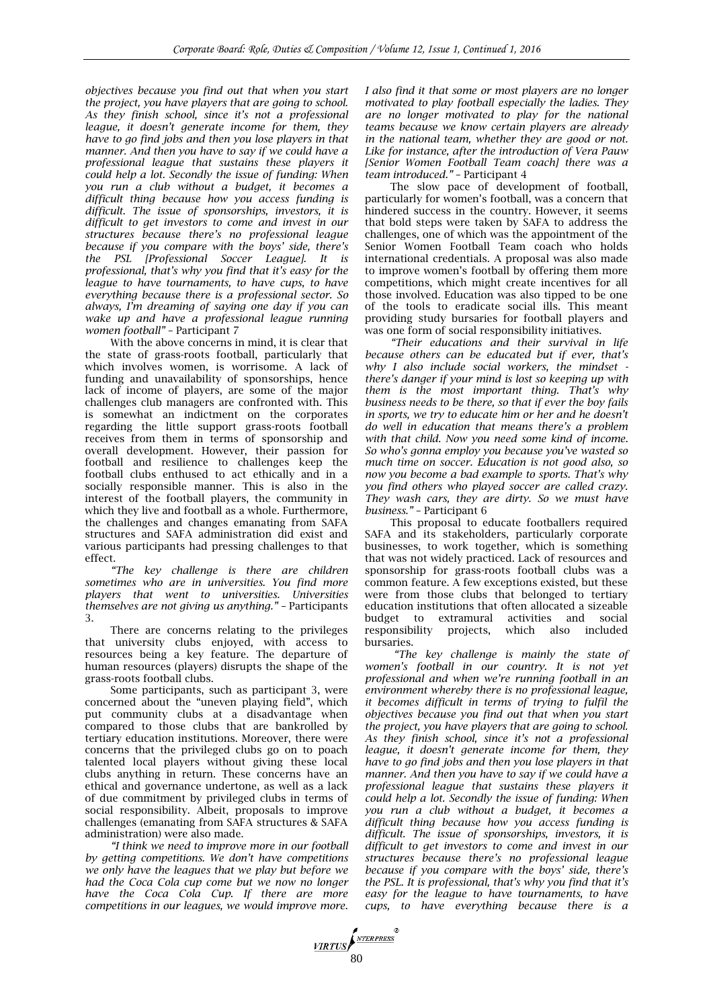*objectives because you find out that when you start the project, you have players that are going to school. As they finish school, since it's not a professional league, it doesn't generate income for them, they have to go find jobs and then you lose players in that manner. And then you have to say if we could have a professional league that sustains these players it could help a lot. Secondly the issue of funding: When you run a club without a budget, it becomes a difficult thing because how you access funding is difficult. The issue of sponsorships, investors, it is difficult to get investors to come and invest in our structures because there's no professional league because if you compare with the boys' side, there's the PSL [Professional Soccer League]. It is professional, that's why you find that it's easy for the league to have tournaments, to have cups, to have everything because there is a professional sector. So always, I'm dreaming of saying one day if you can wake up and have a professional league running women football"* – Participant 7

With the above concerns in mind, it is clear that the state of grass-roots football, particularly that which involves women, is worrisome. A lack of funding and unavailability of sponsorships, hence lack of income of players, are some of the major challenges club managers are confronted with. This is somewhat an indictment on the corporates regarding the little support grass-roots football receives from them in terms of sponsorship and overall development. However, their passion for football and resilience to challenges keep the football clubs enthused to act ethically and in a socially responsible manner. This is also in the interest of the football players, the community in which they live and football as a whole. Furthermore, the challenges and changes emanating from SAFA structures and SAFA administration did exist and various participants had pressing challenges to that effect.

*"The key challenge is there are children sometimes who are in universities. You find more players that went to universities. Universities themselves are not giving us anything."* – Participants 3.

There are concerns relating to the privileges that university clubs enjoyed, with access to resources being a key feature. The departure of human resources (players) disrupts the shape of the grass-roots football clubs.

Some participants, such as participant 3, were concerned about the "uneven playing field", which put community clubs at a disadvantage when compared to those clubs that are bankrolled by tertiary education institutions. Moreover, there were concerns that the privileged clubs go on to poach talented local players without giving these local clubs anything in return. These concerns have an ethical and governance undertone, as well as a lack of due commitment by privileged clubs in terms of social responsibility. Albeit, proposals to improve challenges (emanating from SAFA structures & SAFA administration) were also made.

*"I think we need to improve more in our football by getting competitions. We don't have competitions we only have the leagues that we play but before we had the Coca Cola cup come but we now no longer have the Coca Cola Cup. If there are more competitions in our leagues, we would improve more.*  *I also find it that some or most players are no longer motivated to play football especially the ladies. They are no longer motivated to play for the national teams because we know certain players are already in the national team, whether they are good or not. Like for instance, after the introduction of Vera Pauw [Senior Women Football Team coach] there was a team introduced."* – Participant 4

The slow pace of development of football, particularly for women's football, was a concern that hindered success in the country. However, it seems that bold steps were taken by SAFA to address the challenges, one of which was the appointment of the Senior Women Football Team coach who holds international credentials. A proposal was also made to improve women's football by offering them more competitions, which might create incentives for all those involved. Education was also tipped to be one of the tools to eradicate social ills. This meant providing study bursaries for football players and was one form of social responsibility initiatives.

*"Their educations and their survival in life because others can be educated but if ever, that's why I also include social workers, the mindset there's danger if your mind is lost so keeping up with them is the most important thing. That's why business needs to be there, so that if ever the boy fails in sports, we try to educate him or her and he doesn't do well in education that means there's a problem with that child. Now you need some kind of income. So who's gonna employ you because you've wasted so much time on soccer. Education is not good also, so now you become a bad example to sports. That's why you find others who played soccer are called crazy. They wash cars, they are dirty. So we must have business."* – Participant 6

This proposal to educate footballers required SAFA and its stakeholders, particularly corporate businesses, to work together, which is something that was not widely practiced. Lack of resources and sponsorship for grass-roots football clubs was a common feature.  $\tilde{A}$  few exceptions existed, but these were from those clubs that belonged to tertiary education institutions that often allocated a sizeable budget to extramural activities and social responsibility projects, which also included bursaries.

*"The key challenge is mainly the state of women's football in our country. It is not yet professional and when we're running football in an environment whereby there is no professional league, it becomes difficult in terms of trying to fulfil the objectives because you find out that when you start the project, you have players that are going to school. As they finish school, since it's not a professional league, it doesn't generate income for them, they have to go find jobs and then you lose players in that manner. And then you have to say if we could have a professional league that sustains these players it could help a lot. Secondly the issue of funding: When you run a club without a budget, it becomes a difficult thing because how you access funding is difficult. The issue of sponsorships, investors, it is difficult to get investors to come and invest in our structures because there's no professional league because if you compare with the boys' side, there's the PSL. It is professional, that's why you find that it's easy for the league to have tournaments, to have cups, to have everything because there is a* 

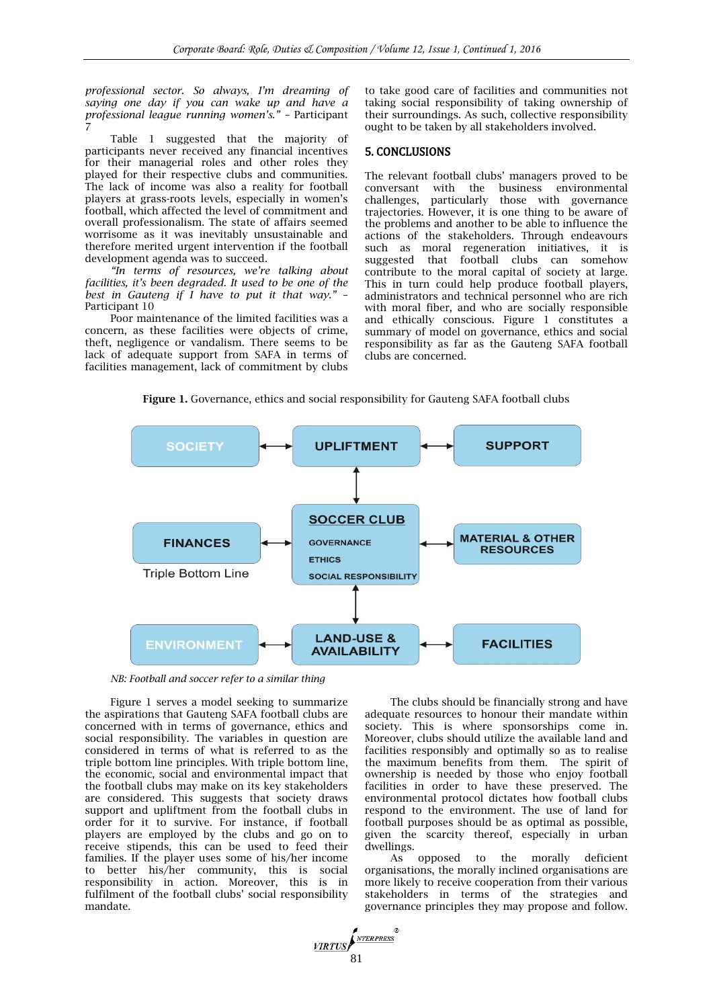*professional sector. So always, I'm dreaming of saying one day if you can wake up and have a professional league running women's." –* Participant 7

Table 1 suggested that the majority of participants never received any financial incentives for their managerial roles and other roles they played for their respective clubs and communities. The lack of income was also a reality for football players at grass-roots levels, especially in women's football, which affected the level of commitment and overall professionalism. The state of affairs seemed worrisome as it was inevitably unsustainable and therefore merited urgent intervention if the football development agenda was to succeed.

*"In terms of resources, we're talking about facilities, it's been degraded. It used to be one of the best in Gauteng if I have to put it that way."* – Participant 10

Poor maintenance of the limited facilities was a concern, as these facilities were objects of crime, theft, negligence or vandalism. There seems to be lack of adequate support from SAFA in terms of facilities management, lack of commitment by clubs

to take good care of facilities and communities not taking social responsibility of taking ownership of their surroundings. As such, collective responsibility ought to be taken by all stakeholders involved.

#### 5. CONCLUSIONS

The relevant football clubs' managers proved to be conversant with the business environmental challenges, particularly those with governance trajectories. However, it is one thing to be aware of the problems and another to be able to influence the actions of the stakeholders. Through endeavours such as moral regeneration initiatives, it is suggested that football clubs can somehow contribute to the moral capital of society at large. This in turn could help produce football players, administrators and technical personnel who are rich with moral fiber, and who are socially responsible and ethically conscious. Figure 1 constitutes a summary of model on governance, ethics and social responsibility as far as the Gauteng SAFA football clubs are concerned.





VIRTUS S1

*NB: Football and soccer refer to a similar thing*

Figure 1 serves a model seeking to summarize the aspirations that Gauteng SAFA football clubs are concerned with in terms of governance, ethics and social responsibility. The variables in question are considered in terms of what is referred to as the triple bottom line principles. With triple bottom line, the economic, social and environmental impact that the football clubs may make on its key stakeholders are considered. This suggests that society draws support and upliftment from the football clubs in order for it to survive. For instance, if football players are employed by the clubs and go on to receive stipends, this can be used to feed their families. If the player uses some of his/her income to better his/her community, this is social responsibility in action. Moreover, this is in fulfilment of the football clubs' social responsibility mandate.

The clubs should be financially strong and have adequate resources to honour their mandate within society. This is where sponsorships come in. Moreover, clubs should utilize the available land and facilities responsibly and optimally so as to realise the maximum benefits from them. The spirit of ownership is needed by those who enjoy football facilities in order to have these preserved. The environmental protocol dictates how football clubs respond to the environment. The use of land for football purposes should be as optimal as possible, given the scarcity thereof, especially in urban dwellings.

As opposed to the morally deficient organisations, the morally inclined organisations are more likely to receive cooperation from their various stakeholders in terms of the strategies and governance principles they may propose and follow.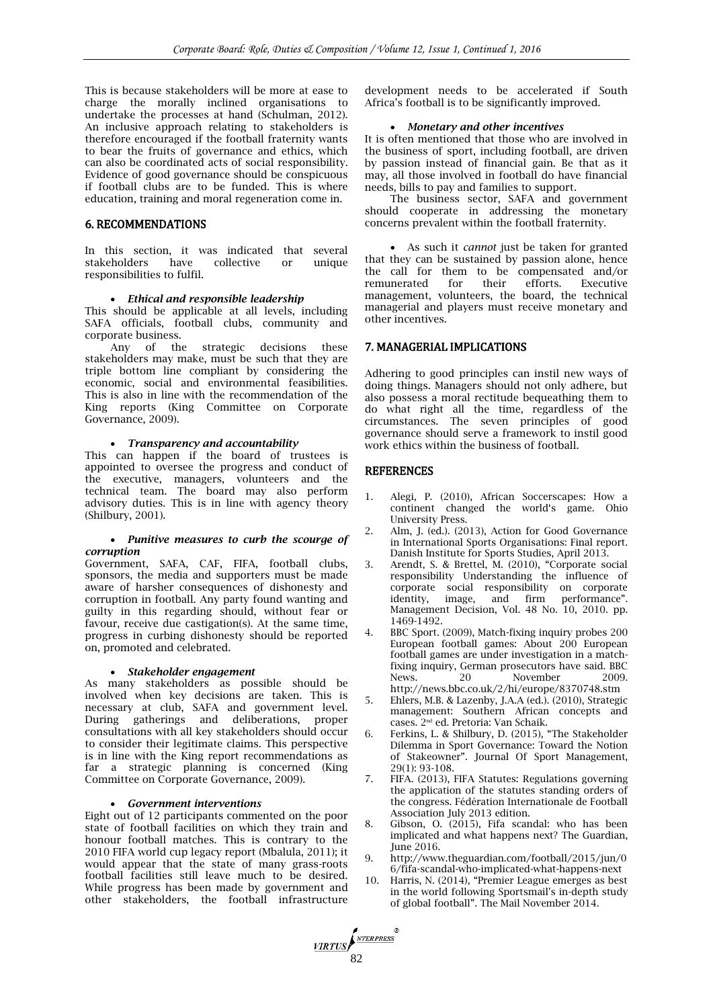This is because stakeholders will be more at ease to charge the morally inclined organisations to undertake the processes at hand (Schulman, 2012). An inclusive approach relating to stakeholders is therefore encouraged if the football fraternity wants to bear the fruits of governance and ethics, which can also be coordinated acts of social responsibility. Evidence of good governance should be conspicuous if football clubs are to be funded. This is where education, training and moral regeneration come in.

# 6. RECOMMENDATIONS

In this section, it was indicated that several stakeholders have collective or unique responsibilities to fulfil.

#### *Ethical and responsible leadership*

This should be applicable at all levels, including SAFA officials, football clubs, community and corporate business.

Any of the strategic decisions these stakeholders may make, must be such that they are triple bottom line compliant by considering the economic, social and environmental feasibilities. This is also in line with the recommendation of the King reports (King Committee on Corporate Governance, 2009).

#### *Transparency and accountability*

This can happen if the board of trustees is appointed to oversee the progress and conduct of the executive, managers, volunteers and the technical team. The board may also perform advisory duties. This is in line with agency theory (Shilbury, 2001).

#### *Punitive measures to curb the scourge of corruption*

Government, SAFA, CAF, FIFA, football clubs, sponsors, the media and supporters must be made aware of harsher consequences of dishonesty and corruption in football. Any party found wanting and guilty in this regarding should, without fear or favour, receive due castigation(s). At the same time, progress in curbing dishonesty should be reported on, promoted and celebrated.

#### *Stakeholder engagement*

As many stakeholders as possible should be involved when key decisions are taken. This is necessary at club, SAFA and government level. During gatherings and deliberations, proper consultations with all key stakeholders should occur to consider their legitimate claims. This perspective is in line with the King report recommendations as far a strategic planning is concerned (King Committee on Corporate Governance, 2009).

#### *Government interventions*

Eight out of 12 participants commented on the poor state of football facilities on which they train and honour football matches. This is contrary to the 2010 FIFA world cup legacy report (Mbalula, 2011); it would appear that the state of many grass-roots football facilities still leave much to be desired. While progress has been made by government and other stakeholders, the football infrastructure

development needs to be accelerated if South Africa's football is to be significantly improved.

#### *Monetary and other incentives*

It is often mentioned that those who are involved in the business of sport, including football, are driven by passion instead of financial gain. Be that as it may, all those involved in football do have financial needs, bills to pay and families to support.

The business sector, SAFA and government should cooperate in addressing the monetary concerns prevalent within the football fraternity.

 As such it *cannot* just be taken for granted that they can be sustained by passion alone, hence the call for them to be compensated and/or remunerated for their efforts. Executive management, volunteers, the board, the technical managerial and players must receive monetary and other incentives.

## 7. MANAGERIAL IMPLICATIONS

Adhering to good principles can instil new ways of doing things. Managers should not only adhere, but also possess a moral rectitude bequeathing them to do what right all the time, regardless of the circumstances. The seven principles of good governance should serve a framework to instil good work ethics within the business of football.

#### **REFERENCES**

VIRTUS NERPRESS

- 1. Alegi, P. (2010), African Soccerscapes: How a continent changed the world's game. Ohio University Press.
- 2. Alm, J. (ed.). (2013), Action for Good Governance in International Sports Organisations: Final report. Danish Institute for Sports Studies, April 2013.
- 3. Arendt, S. & Brettel, M. (2010), "Corporate social responsibility Understanding the influence of corporate social responsibility on corporate identity, image, and firm performance". Management Decision, Vol. 48 No. 10, 2010. pp. 1469-1492.
- 4. BBC Sport. (2009), Match-fixing inquiry probes 200 European football games: About 200 European football games are under investigation in a matchfixing inquiry, German prosecutors have said. BBC News. 20 November 2009. <http://news.bbc.co.uk/2/hi/europe/8370748.stm>
- 5. Ehlers, M.B. & Lazenby, J.A.A (ed.). (2010), Strategic management: Southern African concepts and cases. 2nd ed. Pretoria: Van Schaik.
- 6. Ferkins, L. & Shilbury, D. (2015), "The Stakeholder Dilemma in Sport Governance: Toward the Notion of Stakeowner". Journal Of Sport Management, 29(1): 93-108.
- 7. FIFA. (2013), FIFA Statutes: Regulations governing the application of the statutes standing orders of the congress. Fédération Internationale de Football Association July 2013 edition.
- 8. Gibson, O. (2015), Fifa scandal: who has been implicated and what happens next? The Guardian, June 2016.
- 9. http://www.theguardian.com/football/2015/jun/0 6/fifa-scandal-who-implicated-what-happens-next
- 10. Harris, N. (2014), "Premier League emerges as best in the world following Sportsmail's in-depth study of global football". The Mail November 2014.